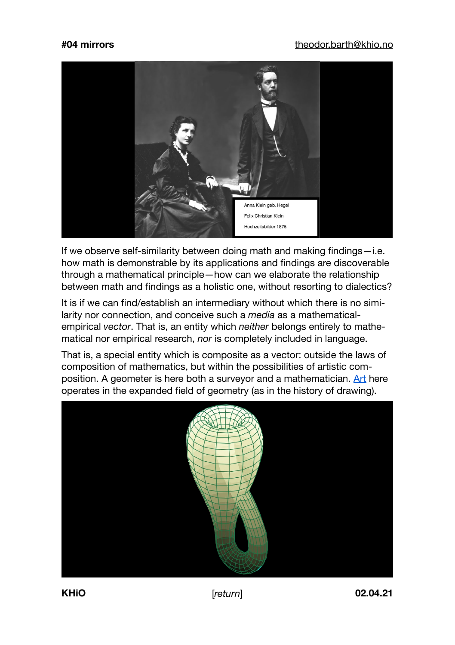## **#04 mirrors** [theodor.barth@khio.no](mailto:theodor.barth@khio.no)



If we observe self-similarity between doing math and making findings—i.e. how math is demonstrable by its applications and findings are discoverable through a mathematical principle—how can we elaborate the relationship between math and findings as a holistic one, without resorting to dialectics?

It is if we can find/establish an intermediary without which there is no similarity nor connection, and conceive such a *media* as a mathematicalempirical *vector*. That is, an entity which *neither* belongs entirely to mathematical nor empirical research, *nor* is completely included in language.

That is, a special entity which is composite as a vector: outside the laws of composition of mathematics, but within the possibilities of artistic com-position. A geometer is here both a survevor and a mathematician. [Art](https://en.wikipedia.org/wiki/The_Castle_(novel)) here operates in the expanded field of geometry (as in the history of drawing).